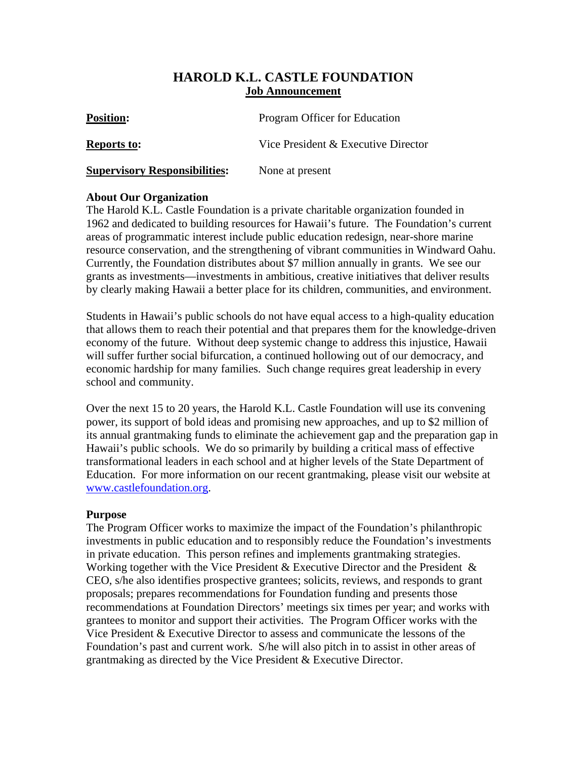# **HAROLD K.L. CASTLE FOUNDATION Job Announcement**

| <b>Position:</b>                     | Program Officer for Education       |
|--------------------------------------|-------------------------------------|
| <b>Reports to:</b>                   | Vice President & Executive Director |
| <b>Supervisory Responsibilities:</b> | None at present                     |

### **About Our Organization**

The Harold K.L. Castle Foundation is a private charitable organization founded in 1962 and dedicated to building resources for Hawaii's future. The Foundation's current areas of programmatic interest include public education redesign, near-shore marine resource conservation, and the strengthening of vibrant communities in Windward Oahu. Currently, the Foundation distributes about \$7 million annually in grants. We see our grants as investments—investments in ambitious, creative initiatives that deliver results by clearly making Hawaii a better place for its children, communities, and environment.

Students in Hawaii's public schools do not have equal access to a high-quality education that allows them to reach their potential and that prepares them for the knowledge-driven economy of the future. Without deep systemic change to address this injustice, Hawaii will suffer further social bifurcation, a continued hollowing out of our democracy, and economic hardship for many families. Such change requires great leadership in every school and community.

Over the next 15 to 20 years, the Harold K.L. Castle Foundation will use its convening power, its support of bold ideas and promising new approaches, and up to \$2 million of its annual grantmaking funds to eliminate the achievement gap and the preparation gap in Hawaii's public schools. We do so primarily by building a critical mass of effective transformational leaders in each school and at higher levels of the State Department of Education. For more information on our recent grantmaking, please visit our website at [www.castlefoundation.org](http://www.castlefoundation.org/).

#### **Purpose**

The Program Officer works to maximize the impact of the Foundation's philanthropic investments in public education and to responsibly reduce the Foundation's investments in private education. This person refines and implements grantmaking strategies. Working together with the Vice President  $&$  Executive Director and the President  $&$ CEO, s/he also identifies prospective grantees; solicits, reviews, and responds to grant proposals; prepares recommendations for Foundation funding and presents those recommendations at Foundation Directors' meetings six times per year; and works with grantees to monitor and support their activities. The Program Officer works with the Vice President & Executive Director to assess and communicate the lessons of the Foundation's past and current work. S/he will also pitch in to assist in other areas of grantmaking as directed by the Vice President & Executive Director.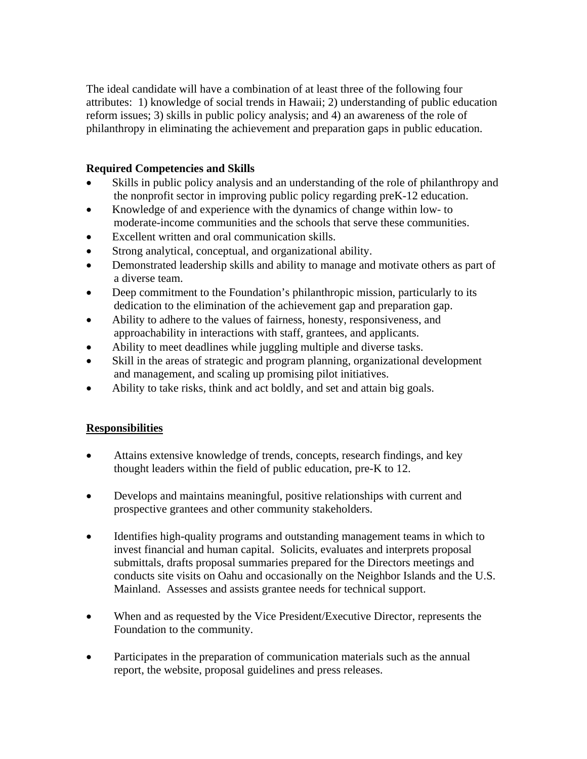The ideal candidate will have a combination of at least three of the following four attributes: 1) knowledge of social trends in Hawaii; 2) understanding of public education reform issues; 3) skills in public policy analysis; and 4) an awareness of the role of philanthropy in eliminating the achievement and preparation gaps in public education.

## **Required Competencies and Skills**

- Skills in public policy analysis and an understanding of the role of philanthropy and the nonprofit sector in improving public policy regarding preK-12 education.
- Knowledge of and experience with the dynamics of change within low- to moderate-income communities and the schools that serve these communities.
- Excellent written and oral communication skills.
- Strong analytical, conceptual, and organizational ability.
- Demonstrated leadership skills and ability to manage and motivate others as part of a diverse team.
- Deep commitment to the Foundation's philanthropic mission, particularly to its dedication to the elimination of the achievement gap and preparation gap.
- Ability to adhere to the values of fairness, honesty, responsiveness, and approachability in interactions with staff, grantees, and applicants.
- Ability to meet deadlines while juggling multiple and diverse tasks.
- Skill in the areas of strategic and program planning, organizational development and management, and scaling up promising pilot initiatives.
- Ability to take risks, think and act boldly, and set and attain big goals.

# **Responsibilities**

- Attains extensive knowledge of trends, concepts, research findings, and key thought leaders within the field of public education, pre-K to 12.
- Develops and maintains meaningful, positive relationships with current and prospective grantees and other community stakeholders.
- Identifies high-quality programs and outstanding management teams in which to invest financial and human capital. Solicits, evaluates and interprets proposal submittals, drafts proposal summaries prepared for the Directors meetings and conducts site visits on Oahu and occasionally on the Neighbor Islands and the U.S. Mainland. Assesses and assists grantee needs for technical support.
- When and as requested by the Vice President/Executive Director, represents the Foundation to the community.
- Participates in the preparation of communication materials such as the annual report, the website, proposal guidelines and press releases.